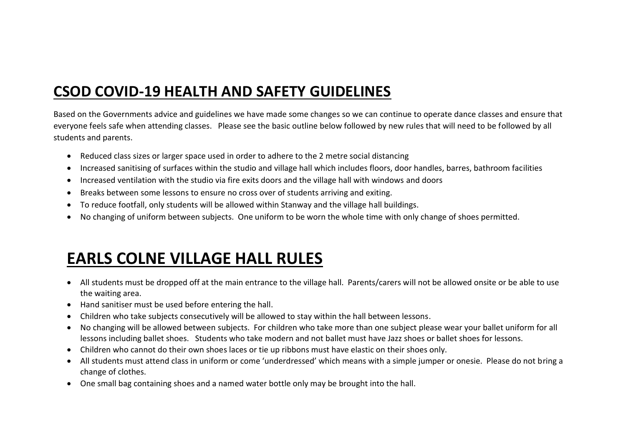## **CSOD COVID-19 HEALTH AND SAFETY GUIDELINES**

Based on the Governments advice and guidelines we have made some changes so we can continue to operate dance classes and ensure that everyone feels safe when attending classes. Please see the basic outline below followed by new rules that will need to be followed by all students and parents.

- Reduced class sizes or larger space used in order to adhere to the 2 metre social distancing
- Increased sanitising of surfaces within the studio and village hall which includes floors, door handles, barres, bathroom facilities
- Increased ventilation with the studio via fire exits doors and the village hall with windows and doors
- Breaks between some lessons to ensure no cross over of students arriving and exiting.
- To reduce footfall, only students will be allowed within Stanway and the village hall buildings.
- No changing of uniform between subjects. One uniform to be worn the whole time with only change of shoes permitted.

## **EARLS COLNE VILLAGE HALL RULES**

- All students must be dropped off at the main entrance to the village hall. Parents/carers will not be allowed onsite or be able to use the waiting area.
- Hand sanitiser must be used before entering the hall.
- Children who take subjects consecutively will be allowed to stay within the hall between lessons.
- No changing will be allowed between subjects. For children who take more than one subject please wear your ballet uniform for all lessons including ballet shoes. Students who take modern and not ballet must have Jazz shoes or ballet shoes for lessons.
- Children who cannot do their own shoes laces or tie up ribbons must have elastic on their shoes only.
- All students must attend class in uniform or come 'underdressed' which means with a simple jumper or onesie. Please do not bring a change of clothes.
- One small bag containing shoes and a named water bottle only may be brought into the hall.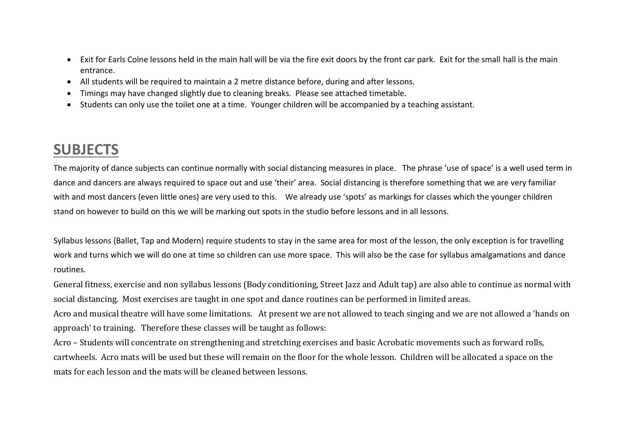- Exit for Earls Colne lessons held in the main hall will be via the fire exit doors by the front car park. Exit for the small hall is the main entrance.
- All students will be required to maintain a 2 metre distance before, during and after lessons.
- Timings may have changed slightly due to cleaning breaks. Please see attached timetable.
- Students can only use the toilet one at a time. Younger children will be accompanied by a teaching assistant.

## **SUBJECTS**

The majority of dance subjects can continue normally with social distancing measures in place. The phrase 'use of space' is a well used term in dance and dancers are always required to space out and use 'their' area. Social distancing is therefore something that we are very familiar with and most dancers (even little ones) are very used to this. We already use 'spots' as markings for classes which the younger children stand on however to build on this we will be marking out spots in the studio before lessons and in all lessons.

Syllabus lessons (Ballet, Tap and Modern) require students to stay in the same area for most of the lesson, the only exception is for travelling work and turns which we will do one at time so children can use more space. This will also be the case for syllabus amalgamations and dance routines.

General fitness, exercise and non syllabus lessons (Body conditioning, Street Jazz and Adult tap) are also able to continue as normal with social distancing. Most exercises are taught in one spot and dance routines can be performed in limited areas.

Acro and musical theatre will have some limitations. At present we are not allowed to teach singing and we are not allowed a 'hands on approach' to training. Therefore these classes will be taught as follows:

Acro – Students will concentrate on strengthening and stretching exercises and basic Acrobatic movements such as forward rolls, cartwheels. Acro mats will be used but these will remain on the floor for the whole lesson. Children will be allocated a space on the mats for each lesson and the mats will be cleaned between lessons.